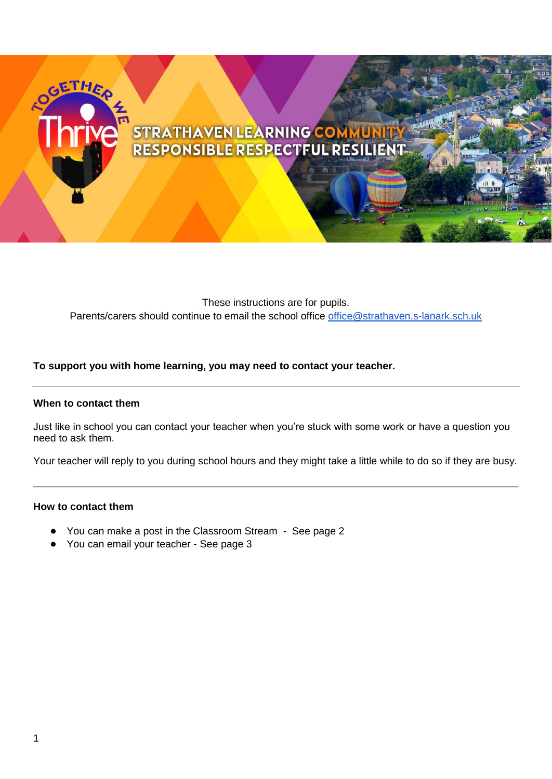# ETHER STRATHAVEN LEARNING COMMUNITY<br>RESPONSIBLE RESPECTFUL RESILIENT

These instructions are for pupils. Parents/carers should continue to email the school office *office@strathaven.s-lanark.sch.uk* 

### **To support you with home learning, you may need to contact your teacher.**

#### **When to contact them**

Just like in school you can contact your teacher when you're stuck with some work or have a question you need to ask them.

Your teacher will reply to you during school hours and they might take a little while to do so if they are busy.

#### **How to contact them**

- You can make a post in the Classroom Stream See page 2
- You can email your teacher See page 3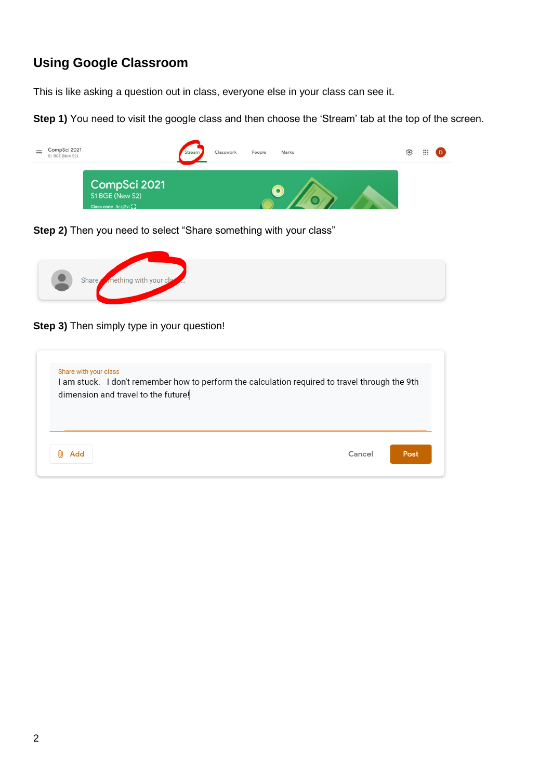# **Using Google Classroom**

This is like asking a question out in class, everyone else in your class can see it.

**Step 1)** You need to visit the google class and then choose the 'Stream' tab at the top of the screen.



**Step 2)** Then you need to select "Share something with your class"



**Step 3)** Then simply type in your question!

| Share with your class | I am stuck. I don't remember how to perform the calculation required to travel through the 9th<br>dimension and travel to the future! |        |      |
|-----------------------|---------------------------------------------------------------------------------------------------------------------------------------|--------|------|
| Add                   |                                                                                                                                       | Cancel | Post |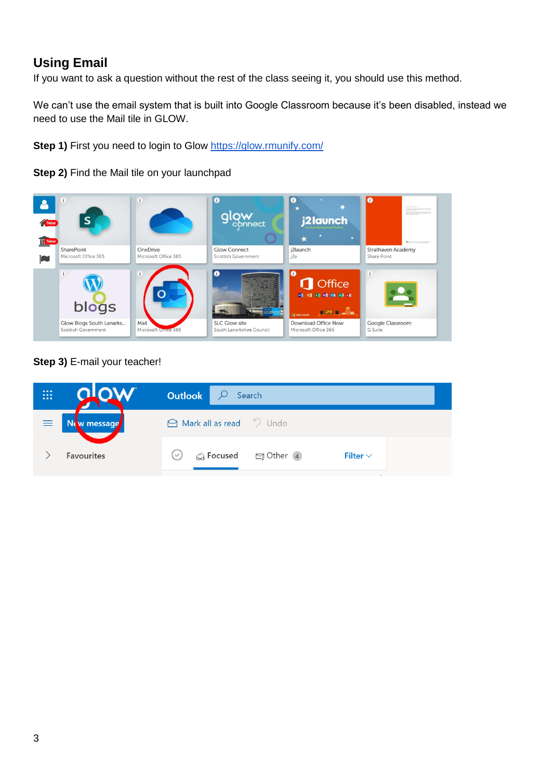## **Using Email**

If you want to ask a question without the rest of the class seeing it, you should use this method.

We can't use the email system that is built into Google Classroom because it's been disabled, instead we need to use the Mail tile in GLOW.

**Step 1)** First you need to login to Glow<https://glow.rmunify.com/>

**Step 2)** Find the Mail tile on your launchpad



## **Step 3)** E-mail your teacher!

| ⊞ |                      | <b>Outlook</b> $\heartsuit$<br>Search                                            |  |
|---|----------------------|----------------------------------------------------------------------------------|--|
|   | $\equiv$ New message | $\bigcirc$ Mark all as read $\bigcirc$ Undo                                      |  |
|   | <b>Favourites</b>    | $\uparrow$ Focused $\qquad \qquad \Box$ Other 4<br>Filter $\vee$<br>$\checkmark$ |  |